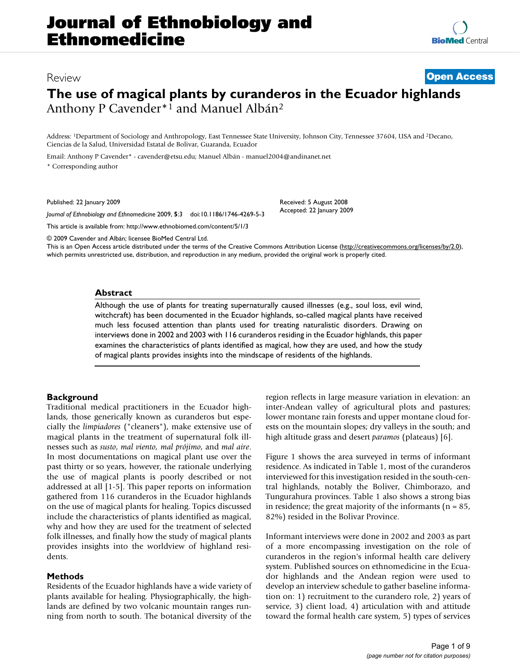**[BioMed](http://www.biomedcentral.com/)** Central

# Review **[Open Access](http://www.biomedcentral.com/info/about/charter/)**

# **The use of magical plants by curanderos in the Ecuador highlands** Anthony P Cavender\*1 and Manuel Albán2

Address: 1Department of Sociology and Anthropology, East Tennessee State University, Johnson City, Tennessee 37604, USA and 2Decano, Ciencias de la Salud, Universidad Estatal de Bolivar, Guaranda, Ecuador

Email: Anthony P Cavender\* - cavender@etsu.edu; Manuel Albán - manuel2004@andinanet.net

\* Corresponding author

Published: 22 January 2009

*Journal of Ethnobiology and Ethnomedicine* 2009, **5**:3 doi:10.1186/1746-4269-5-3

[This article is available from: http://www.ethnobiomed.com/content/5/1/3](http://www.ethnobiomed.com/content/5/1/3)

© 2009 Cavender and Albán; licensee BioMed Central Ltd.

This is an Open Access article distributed under the terms of the Creative Commons Attribution License [\(http://creativecommons.org/licenses/by/2.0\)](http://creativecommons.org/licenses/by/2.0), which permits unrestricted use, distribution, and reproduction in any medium, provided the original work is properly cited.

Received: 5 August 2008 Accepted: 22 January 2009

# **Abstract**

Although the use of plants for treating supernaturally caused illnesses (e.g., soul loss, evil wind, witchcraft) has been documented in the Ecuador highlands, so-called magical plants have received much less focused attention than plants used for treating naturalistic disorders. Drawing on interviews done in 2002 and 2003 with 116 curanderos residing in the Ecuador highlands, this paper examines the characteristics of plants identified as magical, how they are used, and how the study of magical plants provides insights into the mindscape of residents of the highlands.

# **Background**

Traditional medical practitioners in the Ecuador highlands, those generically known as curanderos but especially the *limpiadores* ("cleaners"), make extensive use of magical plants in the treatment of supernatural folk illnesses such as *susto*, *mal viento, mal prójimo*, and *mal aire*. In most documentations on magical plant use over the past thirty or so years, however, the rationale underlying the use of magical plants is poorly described or not addressed at all [1-5]. This paper reports on information gathered from 116 curanderos in the Ecuador highlands on the use of magical plants for healing. Topics discussed include the characteristics of plants identified as magical, why and how they are used for the treatment of selected folk illnesses, and finally how the study of magical plants provides insights into the worldview of highland residents.

# **Methods**

Residents of the Ecuador highlands have a wide variety of plants available for healing. Physiographically, the highlands are defined by two volcanic mountain ranges running from north to south. The botanical diversity of the region reflects in large measure variation in elevation: an inter-Andean valley of agricultural plots and pastures; lower montane rain forests and upper montane cloud forests on the mountain slopes; dry valleys in the south; and high altitude grass and desert *paramos* (plateaus) [6].

Figure 1 shows the area surveyed in terms of informant residence. As indicated in Table 1, most of the curanderos interviewed for this investigation resided in the south-central highlands, notably the Boliver, Chimborazo, and Tungurahura provinces. Table 1 also shows a strong bias in residence; the great majority of the informants ( $n = 85$ , 82%) resided in the Bolivar Province.

Informant interviews were done in 2002 and 2003 as part of a more encompassing investigation on the role of curanderos in the region's informal health care delivery system. Published sources on ethnomedicine in the Ecuador highlands and the Andean region were used to develop an interview schedule to gather baseline information on: 1) recruitment to the curandero role, 2) years of service, 3) client load, 4) articulation with and attitude toward the formal health care system, 5) types of services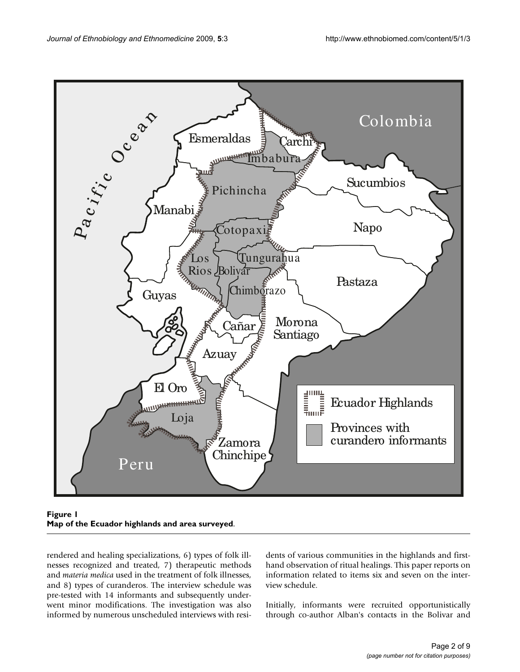

**Figure 1 Map of the Ecuador highlands and area surveyed**.

rendered and healing specializations, 6) types of folk illnesses recognized and treated, 7) therapeutic methods and *materia medica* used in the treatment of folk illnesses, and 8) types of curanderos. The interview schedule was pre-tested with 14 informants and subsequently underwent minor modifications. The investigation was also informed by numerous unscheduled interviews with residents of various communities in the highlands and firsthand observation of ritual healings. This paper reports on information related to items six and seven on the interview schedule.

Initially, informants were recruited opportunistically through co-author Alban's contacts in the Bolivar and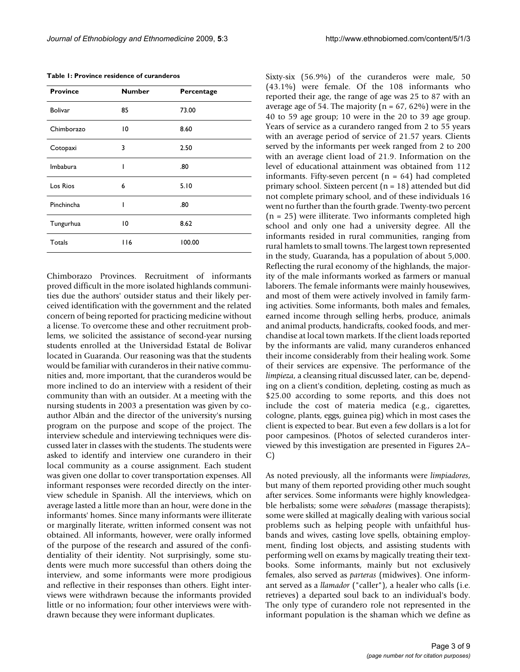| <b>Province</b> | <b>Number</b> | Percentage |
|-----------------|---------------|------------|
| <b>Bolivar</b>  | 85            | 73.00      |
| Chimborazo      | 10            | 8.60       |
| Cotopaxi        | 3             | 2.50       |
| Imbabura        | ı             | .80        |
| Los Rios        | 6             | 5.10       |
| Pinchincha      | ı             | .80        |
| Tungurhua       | 10            | 8.62       |
| Totals          | 116           | 100.00     |
|                 |               |            |

**Table 1: Province residence of curanderos**

Chimborazo Provinces. Recruitment of informants proved difficult in the more isolated highlands communities due the authors' outsider status and their likely perceived identification with the government and the related concern of being reported for practicing medicine without a license. To overcome these and other recruitment problems, we solicited the assistance of second-year nursing students enrolled at the Universidad Estatal de Bolivar located in Guaranda. Our reasoning was that the students would be familiar with curanderos in their native communities and, more important, that the curanderos would be more inclined to do an interview with a resident of their community than with an outsider. At a meeting with the nursing students in 2003 a presentation was given by coauthor Albán and the director of the university's nursing program on the purpose and scope of the project. The interview schedule and interviewing techniques were discussed later in classes with the students. The students were asked to identify and interview one curandero in their local community as a course assignment. Each student was given one dollar to cover transportation expenses. All informant responses were recorded directly on the interview schedule in Spanish. All the interviews, which on average lasted a little more than an hour, were done in the informants' homes. Since many informants were illiterate or marginally literate, written informed consent was not obtained. All informants, however, were orally informed of the purpose of the research and assured of the confidentiality of their identity. Not surprisingly, some students were much more successful than others doing the interview, and some informants were more prodigious and reflective in their responses than others. Eight interviews were withdrawn because the informants provided little or no information; four other interviews were withdrawn because they were informant duplicates.

Sixty-six (56.9%) of the curanderos were male, 50 (43.1%) were female. Of the 108 informants who reported their age, the range of age was 25 to 87 with an average age of 54. The majority ( $n = 67$ , 62%) were in the 40 to 59 age group; 10 were in the 20 to 39 age group. Years of service as a curandero ranged from 2 to 55 years with an average period of service of 21.57 years. Clients served by the informants per week ranged from 2 to 200 with an average client load of 21.9. Information on the level of educational attainment was obtained from 112 informants. Fifty-seven percent  $(n = 64)$  had completed primary school. Sixteen percent (n = 18) attended but did not complete primary school, and of these individuals 16 went no further than the fourth grade. Twenty-two percent  $(n = 25)$  were illiterate. Two informants completed high school and only one had a university degree. All the informants resided in rural communities, ranging from rural hamlets to small towns. The largest town represented in the study, Guaranda, has a population of about 5,000. Reflecting the rural economy of the highlands, the majority of the male informants worked as farmers or manual laborers. The female informants were mainly housewives, and most of them were actively involved in family farming activities. Some informants, both males and females, earned income through selling herbs, produce, animals and animal products, handicrafts, cooked foods, and merchandise at local town markets. If the client loads reported by the informants are valid, many curanderos enhanced their income considerably from their healing work. Some of their services are expensive. The performance of the *limpieza*, a cleansing ritual discussed later, can be, depending on a client's condition, depleting, costing as much as \$25.00 according to some reports, and this does not include the cost of materia medica (e.g., cigarettes, cologne, plants, eggs, guinea pig) which in most cases the client is expected to bear. But even a few dollars is a lot for poor campesinos. (Photos of selected curanderos interviewed by this investigation are presented in Figures 2A– C)

As noted previously, all the informants were *limpiadores*, but many of them reported providing other much sought after services. Some informants were highly knowledgeable herbalists; some were *sobadores* (massage therapists); some were skilled at magically dealing with various social problems such as helping people with unfaithful husbands and wives, casting love spells, obtaining employment, finding lost objects, and assisting students with performing well on exams by magically treating their textbooks. Some informants, mainly but not exclusively females, also served as *parteras* (midwives). One informant served as a *llamador* ("caller"), a healer who calls (i.e. retrieves) a departed soul back to an individual's body. The only type of curandero role not represented in the informant population is the shaman which we define as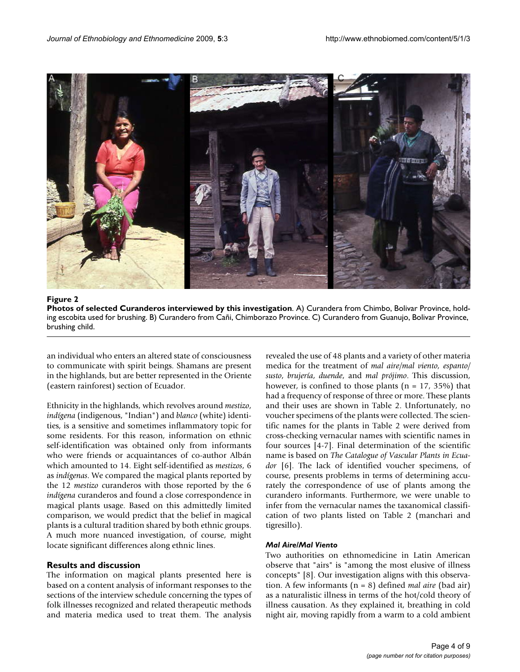

**Figure 2** 

**Photos of selected Curanderos interviewed by this investigation**. A) Curandera from Chimbo, Bolivar Province, holding escobita used for brushing. B) Curandero from Cañi, Chimborazo Province. C) Curandero from Guanujo, Bolivar Province, brushing child.

an individual who enters an altered state of consciousness to communicate with spirit beings. Shamans are present in the highlands, but are better represented in the Oriente (eastern rainforest) section of Ecuador.

Ethnicity in the highlands, which revolves around *mestizo*, *indígena* (indigenous, "Indian") and *blanco* (white) identities, is a sensitive and sometimes inflammatory topic for some residents. For this reason, information on ethnic self-identification was obtained only from informants who were friends or acquaintances of co-author Albán which amounted to 14. Eight self-identified as *mestizos*, 6 as *indígenas*. We compared the magical plants reported by the 12 *mestizo* curanderos with those reported by the 6 *indígena* curanderos and found a close correspondence in magical plants usage. Based on this admittedly limited comparison, we would predict that the belief in magical plants is a cultural tradition shared by both ethnic groups. A much more nuanced investigation, of course, might locate significant differences along ethnic lines.

# **Results and discussion**

The information on magical plants presented here is based on a content analysis of informant responses to the sections of the interview schedule concerning the types of folk illnesses recognized and related therapeutic methods and materia medica used to treat them. The analysis revealed the use of 48 plants and a variety of other materia medica for the treatment of *mal aire/mal viento, espanto/ susto*, *brujería*, *duende*, and *mal prójimo*. This discussion, however, is confined to those plants ( $n = 17, 35\%$ ) that had a frequency of response of three or more. These plants and their uses are shown in Table 2. Unfortunately, no voucher specimens of the plants were collected. The scientific names for the plants in Table 2 were derived from cross-checking vernacular names with scientific names in four sources [4-7]. Final determination of the scientific name is based on *The Catalogue of Vascular Plants in Ecuador* [6]. The lack of identified voucher specimens, of course, presents problems in terms of determining accurately the correspondence of use of plants among the curandero informants. Furthermore, we were unable to infer from the vernacular names the taxanomical classification of two plants listed on Table 2 (manchari and tigresillo).

# *Mal Aire/Mal Viento*

Two authorities on ethnomedicine in Latin American observe that "airs" is "among the most elusive of illness concepts" [8]. Our investigation aligns with this observation. A few informants (n = 8) defined *mal aire* (bad air) as a naturalistic illness in terms of the hot/cold theory of illness causation. As they explained it, breathing in cold night air, moving rapidly from a warm to a cold ambient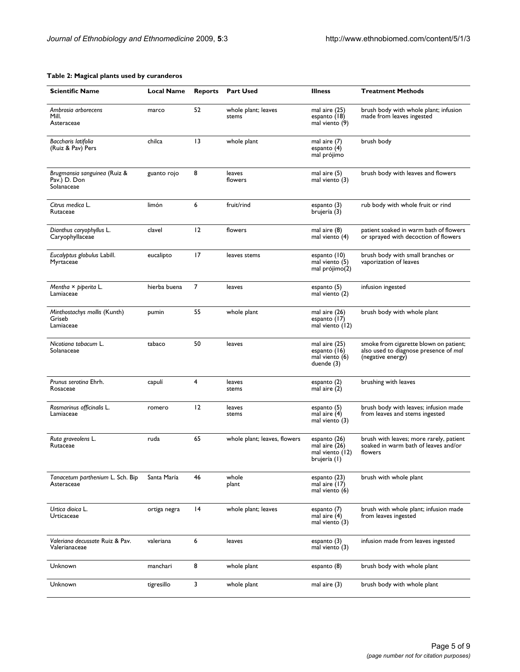#### **Table 2: Magical plants used by curanderos**

| <b>Scientific Name</b>                                     | <b>Local Name</b> | <b>Reports</b>  | <b>Part Used</b>             | <b>Illness</b>                                                   | <b>Treatment Methods</b>                                                                             |
|------------------------------------------------------------|-------------------|-----------------|------------------------------|------------------------------------------------------------------|------------------------------------------------------------------------------------------------------|
|                                                            |                   |                 |                              |                                                                  |                                                                                                      |
| Ambrosia arborecens<br>Mill.<br>Asteraceae                 | marco             | 52              | whole plant; leaves<br>stems | mal aire (25)<br>espanto (18)<br>mal viento (9)                  | brush body with whole plant; infusion<br>made from leaves ingested                                   |
| Baccharis latifolia<br>(Ruiz & Pav) Pers                   | chilca            | $\overline{13}$ | whole plant                  | mal aire (7)<br>espanto $(4)$<br>mal prójimo                     | brush body                                                                                           |
| Brugmansia sanguinea (Ruiz &<br>Pav.) D. Don<br>Solanaceae | guanto rojo       | 8               | leaves<br>flowers            | mal aire (5)<br>mal viento (3)                                   | brush body with leaves and flowers                                                                   |
| Citrus medica L.<br>Rutaceae                               | limón             | 6               | fruit/rind                   | espanto $(3)$<br>brujería (3)                                    | rub body with whole fruit or rind                                                                    |
| Dianthus caryophyllus L.<br>Caryophyllaceae                | clavel            | 12              | flowers                      | mal aire (8)<br>mal viento (4)                                   | patient soaked in warm bath of flowers<br>or sprayed with decoction of flowers                       |
| Eucalyptus globulus Labill.<br>Myrtaceae                   | eucalipto         | 17              | leaves stems                 | espanto (10)<br>mal viento (5)<br>mal prójimo(2)                 | brush body with small branches or<br>vaporization of leaves                                          |
| Mentha × piperita L.<br>Lamiaceae                          | hierba buena      | $\overline{7}$  | leaves                       | espanto $(5)$<br>mal viento (2)                                  | infusion ingested                                                                                    |
| Minthostachys mollis (Kunth)<br>Griseb<br>Lamiaceae        | pumin             | 55              | whole plant                  | mal aire (26)<br>espanto (17)<br>mal viento (12)                 | brush body with whole plant                                                                          |
| Nicotiana tabacum L.<br>Solanaceae                         | tabaco            | 50              | leaves                       | mal aire (25)<br>espanto $(16)$<br>mal viento (6)<br>duende (3)  | smoke from cigarette blown on patient;<br>also used to diagnose presence of mal<br>(negative energy) |
| Prunus serotina Ehrh.<br>Rosaceae                          | capulí            | 4               | leaves<br>stems              | espanto $(2)$<br>mal aire (2)                                    | brushing with leaves                                                                                 |
| Rosmarinus officinalis L.<br>Lamiaceae                     | romero            | 12              | leaves<br>stems              | espanto $(5)$<br>mal aire (4)<br>mal viento (3)                  | brush body with leaves; infusion made<br>from leaves and stems ingested                              |
| Ruta graveolens L.<br>Rutaceae                             | ruda              | 65              | whole plant; leaves, flowers | espanto (26)<br>mal aire (26)<br>mal viento (12)<br>brujería (1) | brush with leaves; more rarely, patient<br>soaked in warm bath of leaves and/or<br>flowers           |
| Tanacetum parthenium L. Sch. Bip<br>Asteraceae             | Santa María       | 46              | whole<br>plant               | espanto (23)<br>mal aire $(17)$<br>mal viento (6)                | brush with whole plant                                                                               |
| Urtica dioica L.<br>Urticaceae                             | ortiga negra      | 4               | whole plant; leaves          | espanto $(7)$<br>mal aire (4)<br>mal viento (3)                  | brush with whole plant; infusion made<br>from leaves ingested                                        |
| Valeriana decussate Ruiz & Pav.<br>Valerianaceae           | valeriana         | 6               | leaves                       | espanto $(3)$<br>mal viento (3)                                  | infusion made from leaves ingested                                                                   |
| Unknown                                                    | manchari          | 8               | whole plant                  | espanto $(8)$                                                    | brush body with whole plant                                                                          |
| Unknown                                                    | tigresillo        | 3               | whole plant                  | mal aire $(3)$                                                   | brush body with whole plant                                                                          |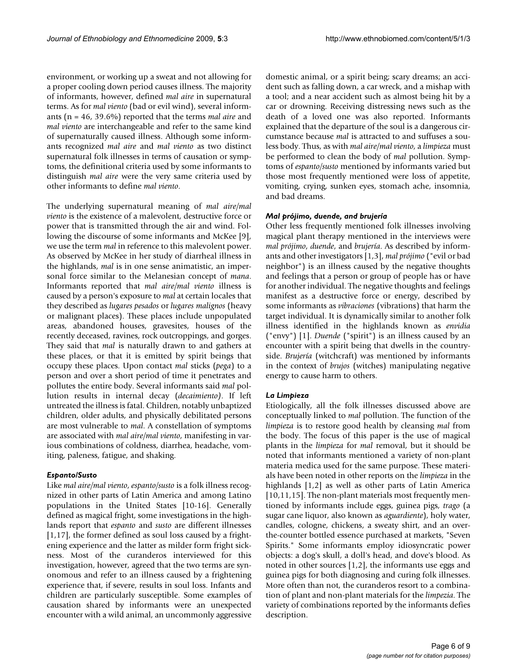environment, or working up a sweat and not allowing for a proper cooling down period causes illness. The majority of informants, however, defined *mal aire* in supernatural terms. As for *mal viento* (bad or evil wind), several informants (n = 46, 39.6%) reported that the terms *mal aire* and *mal viento* are interchangeable and refer to the same kind of supernaturally caused illness. Although some informants recognized *mal aire* and *mal viento* as two distinct supernatural folk illnesses in terms of causation or symptoms, the definitional criteria used by some informants to distinguish *mal aire* were the very same criteria used by other informants to define *mal viento*.

The underlying supernatural meaning of *mal aire/mal viento* is the existence of a malevolent, destructive force or power that is transmitted through the air and wind. Following the discourse of some informants and McKee [9], we use the term *mal* in reference to this malevolent power. As observed by McKee in her study of diarrheal illness in the highlands, *mal* is in one sense animatistic, an impersonal force similar to the Melanesian concept of *mana*. Informants reported that *mal aire/mal viento* illness is caused by a person's exposure to *mal* at certain locales that they described as *lugares pesados* or *lugares malignos* (heavy or malignant places). These places include unpopulated areas, abandoned houses, gravesites, houses of the recently deceased, ravines, rock outcroppings, and gorges. They said that *mal* is naturally drawn to and gathers at these places, or that it is emitted by spirit beings that occupy these places. Upon contact *mal* sticks (*pega*) to a person and over a short period of time it penetrates and pollutes the entire body. Several informants said *mal* pollution results in internal decay (*decaimiento)*. If left untreated the illness is fatal. Children, notably unbaptized children, older adults, and physically debilitated persons are most vulnerable to *mal*. A constellation of symptoms are associated with *mal aire/mal viento*, manifesting in various combinations of coldness, diarrhea, headache, vomiting, paleness, fatigue, and shaking.

# *Espanto/Susto*

Like *mal aire/mal viento*, *espanto/susto* is a folk illness recognized in other parts of Latin America and among Latino populations in the United States [10-16]. Generally defined as magical fright, some investigations in the highlands report that *espanto* and *susto* are different illnesses [1,17], the former defined as soul loss caused by a frightening experience and the latter as milder form fright sickness. Most of the curanderos interviewed for this investigation, however, agreed that the two terms are synonomous and refer to an illness caused by a frightening experience that, if severe, results in soul loss. Infants and children are particularly susceptible. Some examples of causation shared by informants were an unexpected encounter with a wild animal, an uncommonly aggressive domestic animal, or a spirit being; scary dreams; an accident such as falling down, a car wreck, and a mishap with a tool; and a near accident such as almost being hit by a car or drowning. Receiving distressing news such as the death of a loved one was also reported. Informants explained that the departure of the soul is a dangerous circumstance because *mal* is attracted to and suffuses a souless body. Thus, as with *mal aire/mal viento*, a *limpieza* must be performed to clean the body of *mal* pollution. Symptoms of *espanto/susto* mentioned by informants varied but those most frequently mentioned were loss of appetite, vomiting, crying, sunken eyes, stomach ache, insomnia, and bad dreams.

## *Mal prójimo, duende, and brujería*

Other less frequently mentioned folk illnesses involving magical plant therapy mentioned in the interviews were *mal prójimo*, *duende*, and *brujería*. As described by informants and other investigators [1,3], *mal prójimo* ("evil or bad neighbor") is an illness caused by the negative thoughts and feelings that a person or group of people has or have for another individual. The negative thoughts and feelings manifest as a destructive force or energy, described by some informants as *vibraciones* (vibrations) that harm the target individual. It is dynamically similar to another folk illness identified in the highlands known as *envidia* ("envy") [1]. *Duende* ("spirit") is an illness caused by an encounter with a spirit being that dwells in the countryside. *Brujería* (witchcraft) was mentioned by informants in the context of *brujos* (witches) manipulating negative energy to cause harm to others.

### *La Limpieza*

Etiologically, all the folk illnesses discussed above are conceptually linked to *mal* pollution. The function of the *limpieza* is to restore good health by cleansing *mal* from the body. The focus of this paper is the use of magical plants in the *limpieza* for *mal* removal, but it should be noted that informants mentioned a variety of non-plant materia medica used for the same purpose. These materials have been noted in other reports on the *limpieza* in the highlands [1,2] as well as other parts of Latin America [10,11,15]. The non-plant materials most frequently mentioned by informants include eggs, guinea pigs, *trago* (a sugar cane liquor, also known as *aguardiente*), holy water, candles, cologne, chickens, a sweaty shirt, and an overthe-counter bottled essence purchased at markets, "Seven Spirits." Some informants employ idiosyncratic power objects: a dog's skull, a doll's head, and dove's blood. As noted in other sources [1,2], the informants use eggs and guinea pigs for both diagnosing and curing folk illnesses. More often than not, the curanderos resort to a combination of plant and non-plant materials for the *limpezia*. The variety of combinations reported by the informants defies description.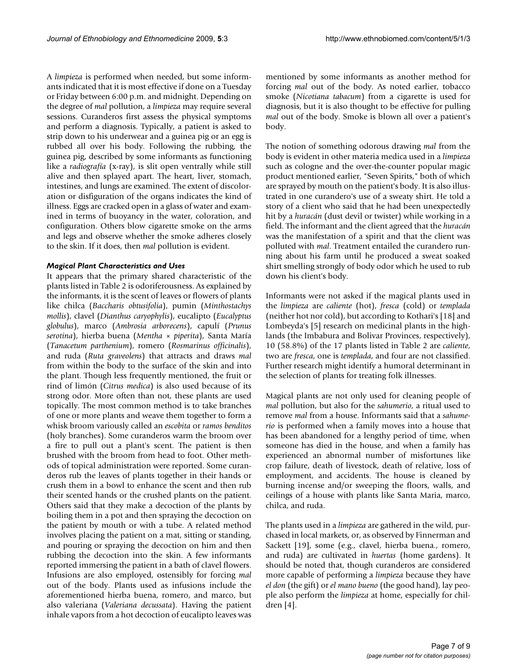A *limpieza* is performed when needed, but some informants indicated that it is most effective if done on a Tuesday or Friday between 6:00 p.m. and midnight. Depending on the degree of *mal* pollution, a *limpieza* may require several sessions. Curanderos first assess the physical symptoms and perform a diagnosis. Typically, a patient is asked to strip down to his underwear and a guinea pig or an egg is rubbed all over his body. Following the rubbing, the guinea pig, described by some informants as functioning like a *radiografía* (x-ray), is slit open ventrally while still alive and then splayed apart. The heart, liver, stomach, intestines, and lungs are examined. The extent of discoloration or disfiguration of the organs indicates the kind of illness. Eggs are cracked open in a glass of water and examined in terms of buoyancy in the water, coloration, and configuration. Others blow cigarette smoke on the arms and legs and observe whether the smoke adheres closely to the skin. If it does, then *mal* pollution is evident.

### *Magical Plant Characteristics and Uses*

It appears that the primary shared characteristic of the plants listed in Table 2 is odoriferousness. As explained by the informants, it is the scent of leaves or flowers of plants like chilca (*Baccharis obtusifolia*), pumin (*Minthostachys mollis*), clavel (*Dianthus caryophylis*), eucalipto (*Eucalyptus globulus*), marco (*Ambrosia arborecens*), capulí (*Prunus serotina*), hierba buena (*Mentha* × *piperita*), Santa María (*Tanacetum parthenium*), romero (*Rosmarinus officinalis*), and ruda (*Ruta graveolens*) that attracts and draws *mal* from within the body to the surface of the skin and into the plant. Though less frequently mentioned, the fruit or rind of limón (*Citrus medica*) is also used because of its strong odor. More often than not, these plants are used topically. The most common method is to take branches of one or more plants and weave them together to form a whisk broom variously called an *escobita* or *ramos benditos* (holy branches). Some curanderos warm the broom over a fire to pull out a plant's scent. The patient is then brushed with the broom from head to foot. Other methods of topical administration were reported. Some curanderos rub the leaves of plants together in their hands or crush them in a bowl to enhance the scent and then rub their scented hands or the crushed plants on the patient. Others said that they make a decoction of the plants by boiling them in a pot and then spraying the decoction on the patient by mouth or with a tube. A related method involves placing the patient on a mat, sitting or standing, and pouring or spraying the decoction on him and then rubbing the decoction into the skin. A few informants reported immersing the patient in a bath of clavel flowers. Infusions are also employed, ostensibly for forcing *mal* out of the body. Plants used as infusions include the aforementioned hierba buena, romero, and marco, but also valeriana (*Valeriana decussata*). Having the patient inhale vapors from a hot decoction of eucalipto leaves was

mentioned by some informants as another method for forcing *mal* out of the body. As noted earlier, tobacco smoke (*Nicotiana tabacum*) from a cigarette is used for diagnosis, but it is also thought to be effective for pulling *mal* out of the body. Smoke is blown all over a patient's body.

The notion of something odorous drawing *mal* from the body is evident in other materia medica used in a *limpieza* such as cologne and the over-the-counter popular magic product mentioned earlier, "Seven Spirits," both of which are sprayed by mouth on the patient's body. It is also illustrated in one curandero's use of a sweaty shirt. He told a story of a client who said that he had been unexpectedly hit by a *huracán* (dust devil or twister) while working in a field. The informant and the client agreed that the *huracán* was the manifestation of a spirit and that the client was polluted with *mal*. Treatment entailed the curandero running about his farm until he produced a sweat soaked shirt smelling strongly of body odor which he used to rub down his client's body.

Informants were not asked if the magical plants used in the *limpieza* are *caliente* (hot), *fresca* (cold) or *templada* (neither hot nor cold), but according to Kothari's [18] and Lombeyda's [5] research on medicinal plants in the highlands (the Imbabura and Bolivar Provinces, respectively), 10 (58.8%) of the 17 plants listed in Table 2 are *caliente*, two are *fresca*, one is *templada*, and four are not classified. Further research might identify a humoral determinant in the selection of plants for treating folk illnesses.

Magical plants are not only used for cleaning people of *mal* pollution, but also for the *sahumerio*, a ritual used to remove *mal* from a house. Informants said that a *sahumerio* is performed when a family moves into a house that has been abandoned for a lengthy period of time, when someone has died in the house, and when a family has experienced an abnormal number of misfortunes like crop failure, death of livestock, death of relative, loss of employment, and accidents. The house is cleaned by burning incense and/or sweeping the floors, walls, and ceilings of a house with plants like Santa Maria, marco, chilca, and ruda.

The plants used in a *limpieza* are gathered in the wild, purchased in local markets, or, as observed by Finnerman and Sackett [19], some (e.g., clavel, hierba buena., romero, and ruda) are cultivated in *huertas* (home gardens). It should be noted that, though curanderos are considered more capable of performing a *limpieza* because they have *el don* (the gift) or *el mano bueno* (the good hand), lay people also perform the *limpieza* at home, especially for children [4].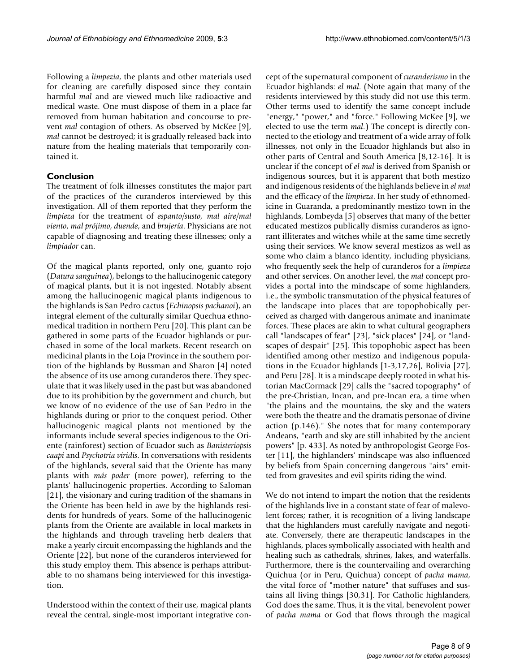Following a *limpezia*, the plants and other materials used for cleaning are carefully disposed since they contain harmful *mal* and are viewed much like radioactive and medical waste. One must dispose of them in a place far removed from human habitation and concourse to prevent *mal* contagion of others. As observed by McKee [9], *mal* cannot be destroyed; it is gradually released back into nature from the healing materials that temporarily contained it.

### **Conclusion**

The treatment of folk illnesses constitutes the major part of the practices of the curanderos interviewed by this investigation. All of them reported that they perform the *limpieza* for the treatment of *espanto/susto, mal aire/mal viento*, *mal prójimo*, *duende*, and *brujería*. Physicians are not capable of diagnosing and treating these illnesses; only a *limpiador* can.

Of the magical plants reported, only one, guanto rojo (*Datura sanguinea*), belongs to the hallucinogenic category of magical plants, but it is not ingested. Notably absent among the hallucinogenic magical plants indigenous to the highlands is San Pedro cactus (*Echinopsis pachanoi*), an integral element of the culturally similar Quechua ethnomedical tradition in northern Peru [20]. This plant can be gathered in some parts of the Ecuador highlands or purchased in some of the local markets. Recent research on medicinal plants in the Loja Province in the southern portion of the highlands by Bussman and Sharon [4] noted the absence of its use among curanderos there. They speculate that it was likely used in the past but was abandoned due to its prohibition by the government and church, but we know of no evidence of the use of San Pedro in the highlands during or prior to the conquest period. Other hallucinogenic magical plants not mentioned by the informants include several species indigenous to the Oriente (rainforest) section of Ecuador such as *Banisteriopsis caapi* and *Psychotria viridis*. In conversations with residents of the highlands, several said that the Oriente has many plants with *más poder* (more power), referring to the plants' hallucinogenic properties. According to Saloman [21], the visionary and curing tradition of the shamans in the Oriente has been held in awe by the highlands residents for hundreds of years. Some of the hallucinogenic plants from the Oriente are available in local markets in the highlands and through traveling herb dealers that make a yearly circuit encompassing the highlands and the Oriente [22], but none of the curanderos interviewed for this study employ them. This absence is perhaps attributable to no shamans being interviewed for this investigation.

Understood within the context of their use, magical plants reveal the central, single-most important integrative concept of the supernatural component of *curanderismo* in the Ecuador highlands: *el mal*. (Note again that many of the residents interviewed by this study did not use this term. Other terms used to identify the same concept include "energy," "power," and "force." Following McKee [9], we elected to use the term *mal*.) The concept is directly connected to the etiology and treatment of a wide array of folk illnesses, not only in the Ecuador highlands but also in other parts of Central and South America [8,12-16]. It is unclear if the concept of *el mal* is derived from Spanish or indigenous sources, but it is apparent that both mestizo and indigenous residents of the highlands believe in *el mal* and the efficacy of the *limpieza*. In her study of ethnomedicine in Guaranda, a predominantly mestizo town in the highlands, Lombeyda [5] observes that many of the better educated mestizos publically dismiss curanderos as ignorant illiterates and witches while at the same time secretly using their services. We know several mestizos as well as some who claim a blanco identity, including physicians, who frequently seek the help of curanderos for a *limpieza* and other services. On another level, the *mal* concept provides a portal into the mindscape of some highlanders, i.e., the symbolic transmutation of the physical features of the landscape into places that are topophobically perceived as charged with dangerous animate and inanimate forces. These places are akin to what cultural geographers call "landscapes of fear" [23], "sick places" [24], or "landscapes of despair" [25]. This topophobic aspect has been identified among other mestizo and indigenous populations in the Ecuador highlands [1-3,17,26], Bolivia [27], and Peru [28]. It is a mindscape deeply rooted in what historian MacCormack [29] calls the "sacred topography" of the pre-Christian, Incan, and pre-Incan era, a time when "the plains and the mountains, the sky and the waters were both the theatre and the dramatis personae of divine action (p.146)." She notes that for many contemporary Andeans, "earth and sky are still inhabited by the ancient powers" [p. 433]. As noted by anthropologist George Foster [11], the highlanders' mindscape was also influenced by beliefs from Spain concerning dangerous "airs" emitted from gravesites and evil spirits riding the wind.

We do not intend to impart the notion that the residents of the highlands live in a constant state of fear of malevolent forces; rather, it is recognition of a living landscape that the highlanders must carefully navigate and negotiate. Conversely, there are therapeutic landscapes in the highlands, places symbolically associated with health and healing such as cathedrals, shrines, lakes, and waterfalls. Furthermore, there is the countervailing and overarching Quichua (or in Peru, Quichua) concept of *pacha mama*, the vital force of "mother nature" that suffuses and sustains all living things [30,31]. For Catholic highlanders, God does the same. Thus, it is the vital, benevolent power of *pacha mama* or God that flows through the magical